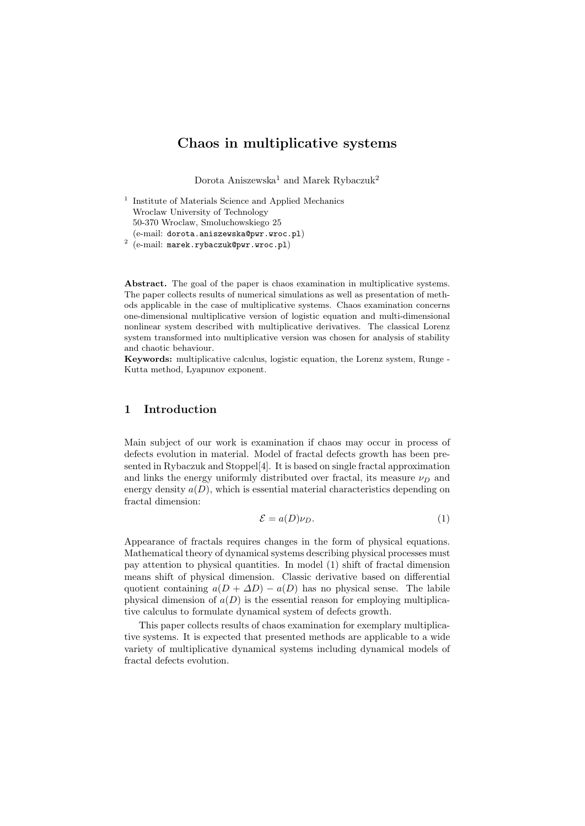## Chaos in multiplicative systems

Dorota Aniszewska<sup>1</sup> and Marek Rybaczuk<sup>2</sup>

1 Institute of Materials Science and Applied Mechanics Wroclaw University of Technology 50-370 Wroclaw, Smoluchowskiego 25 (e-mail: dorota.aniszewska@pwr.wroc.pl) 2 (e-mail: marek.rybaczuk@pwr.wroc.pl)

Abstract. The goal of the paper is chaos examination in multiplicative systems. The paper collects results of numerical simulations as well as presentation of methods applicable in the case of multiplicative systems. Chaos examination concerns one-dimensional multiplicative version of logistic equation and multi-dimensional nonlinear system described with multiplicative derivatives. The classical Lorenz system transformed into multiplicative version was chosen for analysis of stability and chaotic behaviour.

Keywords: multiplicative calculus, logistic equation, the Lorenz system, Runge - Kutta method, Lyapunov exponent.

### 1 Introduction

Main subject of our work is examination if chaos may occur in process of defects evolution in material. Model of fractal defects growth has been presented in Rybaczuk and Stoppel[4]. It is based on single fractal approximation and links the energy uniformly distributed over fractal, its measure  $\nu_D$  and energy density  $a(D)$ , which is essential material characteristics depending on fractal dimension:

$$
\mathcal{E} = a(D)\nu_D. \tag{1}
$$

Appearance of fractals requires changes in the form of physical equations. Mathematical theory of dynamical systems describing physical processes must pay attention to physical quantities. In model (1) shift of fractal dimension means shift of physical dimension. Classic derivative based on differential quotient containing  $a(D + \Delta D) - a(D)$  has no physical sense. The labile physical dimension of  $a(D)$  is the essential reason for employing multiplicative calculus to formulate dynamical system of defects growth.

This paper collects results of chaos examination for exemplary multiplicative systems. It is expected that presented methods are applicable to a wide variety of multiplicative dynamical systems including dynamical models of fractal defects evolution.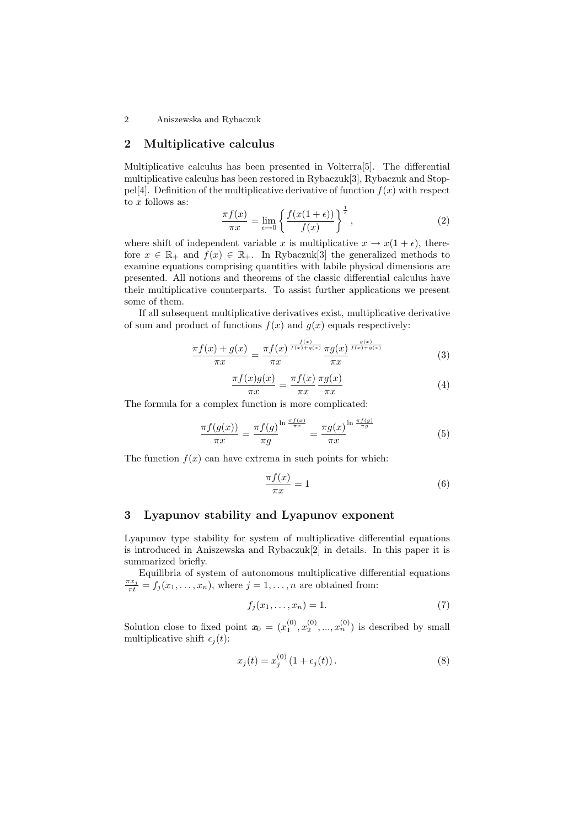2 Aniszewska and Rybaczuk

### 2 Multiplicative calculus

Multiplicative calculus has been presented in Volterra[5]. The differential multiplicative calculus has been restored in Rybaczuk[3], Rybaczuk and Stoppel[4]. Definition of the multiplicative derivative of function  $f(x)$  with respect to  $x$  follows as:

$$
\frac{\pi f(x)}{\pi x} = \lim_{\epsilon \to 0} \left\{ \frac{f(x(1+\epsilon))}{f(x)} \right\}^{\frac{1}{\epsilon}},\tag{2}
$$

where shift of independent variable x is multiplicative  $x \to x(1 + \epsilon)$ , therefore  $x \in \mathbb{R}_+$  and  $f(x) \in \mathbb{R}_+$ . In Rybaczuk[3] the generalized methods to examine equations comprising quantities with labile physical dimensions are presented. All notions and theorems of the classic differential calculus have their multiplicative counterparts. To assist further applications we present some of them.

If all subsequent multiplicative derivatives exist, multiplicative derivative of sum and product of functions  $f(x)$  and  $g(x)$  equals respectively:

$$
\frac{\pi f(x) + g(x)}{\pi x} = \frac{\pi f(x)}{\pi x} \frac{\frac{f(x)}{f(x) + g(x)}}{\pi x} \frac{\pi g(x)}{\pi x} \frac{\frac{g(x)}{f(x) + g(x)}}{\pi x} \tag{3}
$$

$$
\frac{\pi f(x)g(x)}{\pi x} = \frac{\pi f(x)}{\pi x} \frac{\pi g(x)}{\pi x} \tag{4}
$$

The formula for a complex function is more complicated:

$$
\frac{\pi f(g(x))}{\pi x} = \frac{\pi f(g)}{\pi g} \frac{\ln \frac{\pi f(x)}{\pi x}}{\pi g} = \frac{\pi g(x)}{\pi x} \frac{\ln \frac{\pi f(g)}{\pi g}}{\pi x}
$$
(5)

The function  $f(x)$  can have extrema in such points for which:

$$
\frac{\pi f(x)}{\pi x} = 1\tag{6}
$$

### 3 Lyapunov stability and Lyapunov exponent

Lyapunov type stability for system of multiplicative differential equations is introduced in Aniszewska and Rybaczuk[2] in details. In this paper it is summarized briefly.

Equilibria of system of autonomous multiplicative differential equations  $\frac{\pi x_j}{\pi t} = f_j(x_1, \ldots, x_n)$ , where  $j = 1, \ldots, n$  are obtained from:

$$
f_j(x_1,\ldots,x_n)=1.\tag{7}
$$

Solution close to fixed point  $\mathbf{x}_0 = (x_1^{(0)}, x_2^{(0)}, ..., x_n^{(0)})$  is described by small multiplicative shift  $\epsilon_i(t)$ :

$$
x_j(t) = x_j^{(0)} (1 + \epsilon_j(t)).
$$
 (8)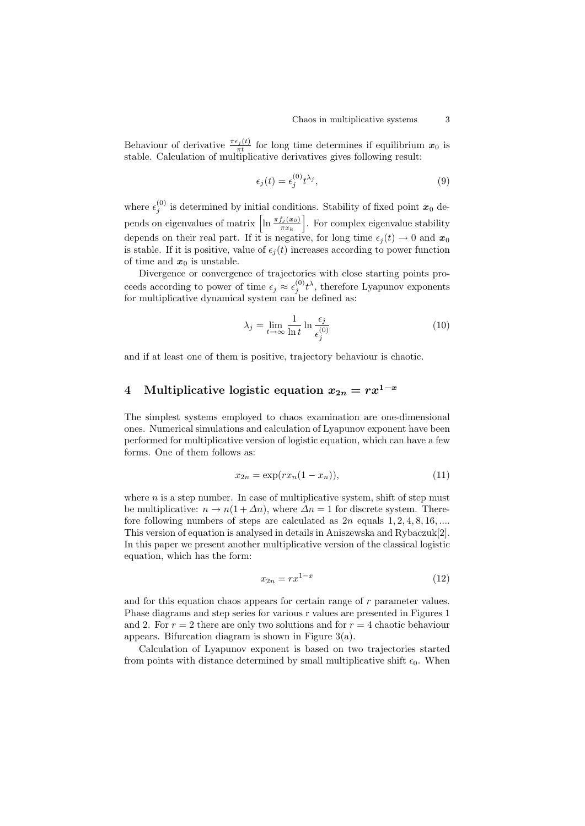Behaviour of derivative  $\frac{\pi \epsilon_j(t)}{\pi t}$  for long time determines if equilibrium  $x_0$  is stable. Calculation of multiplicative derivatives gives following result:

$$
\epsilon_j(t) = \epsilon_j^{(0)} t^{\lambda_j},\tag{9}
$$

where  $\epsilon_j^{(0)}$  is determined by initial conditions. Stability of fixed point  $x_0$  depends on eigenvalues of matrix  $\left[\ln \frac{\pi f_j(x_0)}{\pi x_k}\right]$ . For complex eigenvalue stability depends on their real part. If it is negative, for long time  $\epsilon_j(t) \to 0$  and  $x_0$ is stable. If it is positive, value of  $\epsilon_i(t)$  increases according to power function of time and  $x_0$  is unstable.

Divergence or convergence of trajectories with close starting points proceeds according to power of time  $\epsilon_j \approx \epsilon_j^{(0)} t^{\lambda}$ , therefore Lyapunov exponents for multiplicative dynamical system can be defined as:

$$
\lambda_j = \lim_{t \to \infty} \frac{1}{\ln t} \ln \frac{\epsilon_j}{\epsilon_j^{(0)}} \tag{10}
$$

and if at least one of them is positive, trajectory behaviour is chaotic.

# 4 Multiplicative logistic equation  $x_{2n} = rx^{1-x}$

The simplest systems employed to chaos examination are one-dimensional ones. Numerical simulations and calculation of Lyapunov exponent have been performed for multiplicative version of logistic equation, which can have a few forms. One of them follows as:

$$
x_{2n} = \exp(rx_n(1-x_n)),\tag{11}
$$

where  $n$  is a step number. In case of multiplicative system, shift of step must be multiplicative:  $n \to n(1 + \Delta n)$ , where  $\Delta n = 1$  for discrete system. Therefore following numbers of steps are calculated as  $2n$  equals  $1, 2, 4, 8, 16, \ldots$ This version of equation is analysed in details in Aniszewska and Rybaczuk[2]. In this paper we present another multiplicative version of the classical logistic equation, which has the form:

$$
x_{2n} = rx^{1-x} \tag{12}
$$

and for this equation chaos appears for certain range of r parameter values. Phase diagrams and step series for various r values are presented in Figures 1 and 2. For  $r = 2$  there are only two solutions and for  $r = 4$  chaotic behaviour appears. Bifurcation diagram is shown in Figure 3(a).

Calculation of Lyapunov exponent is based on two trajectories started from points with distance determined by small multiplicative shift  $\epsilon_0$ . When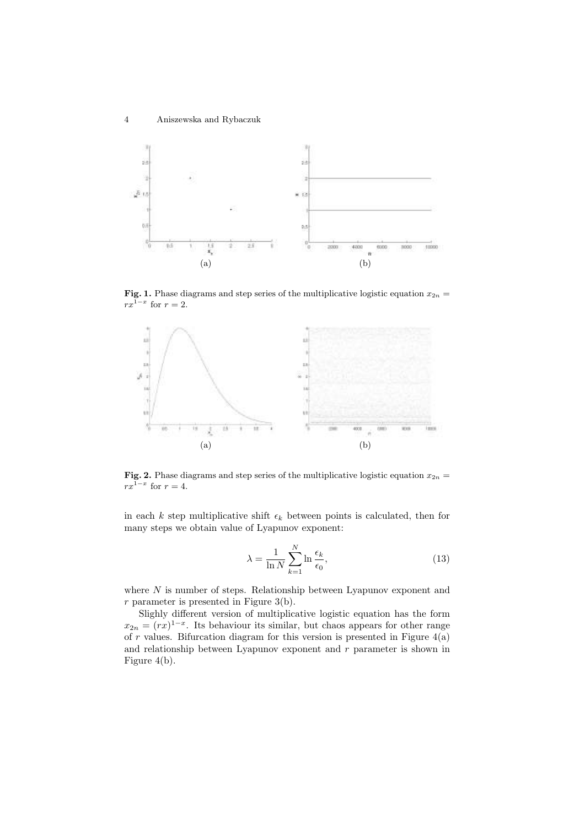

**Fig. 1.** Phase diagrams and step series of the multiplicative logistic equation  $x_{2n} =$  $rx^{1-x}$  for  $r=2$ .



**Fig. 2.** Phase diagrams and step series of the multiplicative logistic equation  $x_{2n}$  =  $rx^{1-x}$  for  $r=4$ .

in each k step multiplicative shift  $\epsilon_k$  between points is calculated, then for many steps we obtain value of Lyapunov exponent:

$$
\lambda = \frac{1}{\ln N} \sum_{k=1}^{N} \ln \frac{\epsilon_k}{\epsilon_0},\tag{13}
$$

where  $N$  is number of steps. Relationship between Lyapunov exponent and  $r$  parameter is presented in Figure 3(b).

Slighly different version of multiplicative logistic equation has the form  $x_{2n} = (rx)^{1-x}$ . Its behaviour its similar, but chaos appears for other range of  $\boldsymbol{r}$  values. Bifurcation diagram for this version is presented in Figure 4(a) and relationship between Lyapunov exponent and r parameter is shown in Figure 4(b).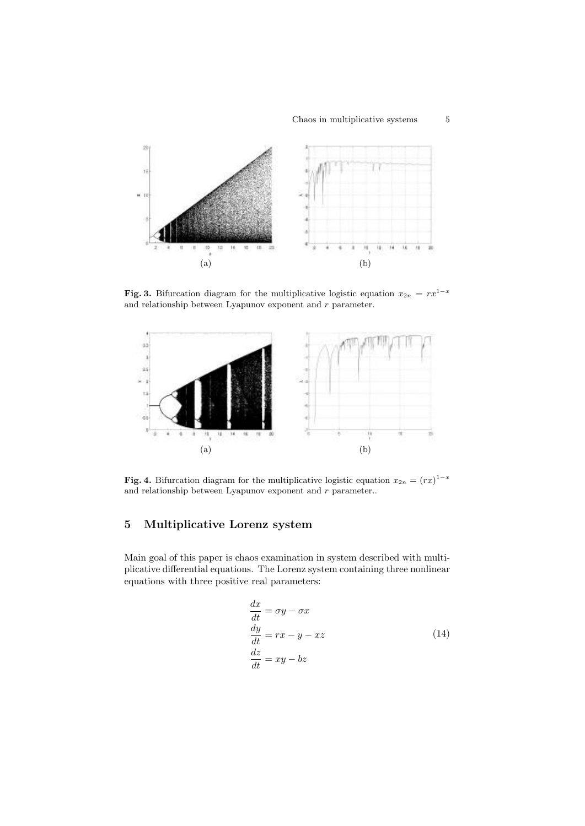### $\begin{tabular}{ll} Chaos in multiplicative systems \end{tabular} \begin{tabular}{ll} \hspace*{-0.1cm} $5$ & \end{tabular}$



Fig. 3. Bifurcation diagram for the multiplicative logistic equation  $x_{2n} = rx^{1-x}$ and relationship between Lyapunov exponent and  $r$  parameter.



**Fig. 4.** Bifurcation diagram for the multiplicative logistic equation  $x_{2n} = (rx)^{1-x}$ and relationship between Lyapunov exponent and r parameter..

## 5 Multiplicative Lorenz system

Main goal of this paper is chaos examination in system described with multiplicative differential equations. The Lorenz system containing three nonlinear equations with three positive real parameters:

$$
\begin{aligned}\n\frac{dx}{dt} &= \sigma y - \sigma x\\ \n\frac{dy}{dt} &= rx - y - xz\\
\frac{dz}{dt} &= xy - bz\n\end{aligned} \tag{14}
$$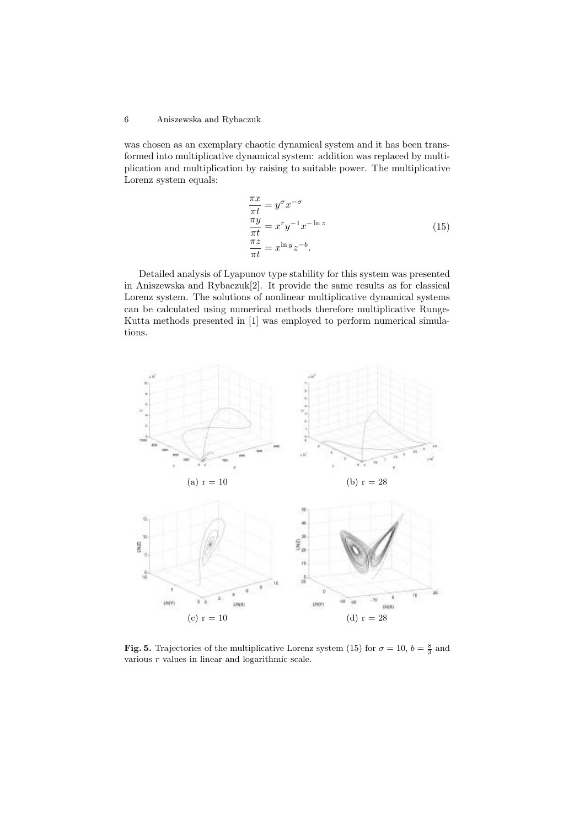### 6 Aniszewska and Rybaczuk

was chosen as an exemplary chaotic dynamical system and it has been transformed into multiplicative dynamical system: addition was replaced by multiplication and multiplication by raising to suitable power. The multiplicative Lorenz system equals:

$$
\frac{\pi x}{\pi t} = y^{\sigma} x^{-\sigma}
$$
  
\n
$$
\frac{\pi y}{\pi t} = x^{r} y^{-1} x^{-\ln z}
$$
  
\n
$$
\frac{\pi z}{\pi t} = x^{\ln y} z^{-b}.
$$
\n(15)

Detailed analysis of Lyapunov type stability for this system was presented in Aniszewska and Rybaczuk[2]. It provide the same results as for classical Lorenz system. The solutions of nonlinear multiplicative dynamical systems can be calculated using numerical methods therefore multiplicative Runge-Kutta methods presented in [1] was employed to perform numerical simulations.



Fig. 5. Trajectories of the multiplicative Lorenz system (15) for  $\sigma = 10$ ,  $b = \frac{8}{3}$  and various  $r$  values in linear and logarithmic scale.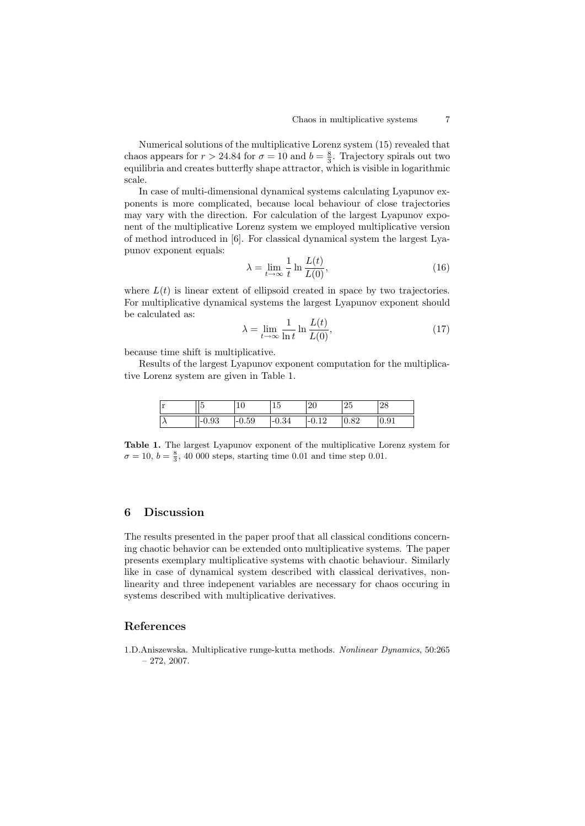Numerical solutions of the multiplicative Lorenz system (15) revealed that chaos appears for  $r > 24.84$  for  $\sigma = 10$  and  $b = \frac{8}{3}$ . Trajectory spirals out two equilibria and creates butterfly shape attractor, which is visible in logarithmic scale.

In case of multi-dimensional dynamical systems calculating Lyapunov exponents is more complicated, because local behaviour of close trajectories may vary with the direction. For calculation of the largest Lyapunov exponent of the multiplicative Lorenz system we employed multiplicative version of method introduced in [6]. For classical dynamical system the largest Lyapunov exponent equals:

$$
\lambda = \lim_{t \to \infty} \frac{1}{t} \ln \frac{L(t)}{L(0)},\tag{16}
$$

where  $L(t)$  is linear extent of ellipsoid created in space by two trajectories. For multiplicative dynamical systems the largest Lyapunov exponent should be calculated as:

$$
\lambda = \lim_{t \to \infty} \frac{1}{\ln t} \ln \frac{L(t)}{L(0)},\tag{17}
$$

because time shift is multiplicative.

Results of the largest Lyapunov exponent computation for the multiplicative Lorenz system are given in Table 1.

| $\mathbf{v}$<br><b>I</b> |             | ັ           | . .<br>ı.<br>ŦΩ | ഹ<br>∠∪ | ີດ⊧<br>40 | $\sim$<br>40 |
|--------------------------|-------------|-------------|-----------------|---------|-----------|--------------|
| $\lambda$                | ◡<br>1-0.YJ | - 1<br>U.JJ | -v.o4           | -<br>-- | ∪.∪∠      | u<br>0.01    |

Table 1. The largest Lyapunov exponent of the multiplicative Lorenz system for  $\sigma = 10, b = \frac{8}{3}, 40\ 000$  steps, starting time 0.01 and time step 0.01.

### 6 Discussion

The results presented in the paper proof that all classical conditions concerning chaotic behavior can be extended onto multiplicative systems. The paper presents exemplary multiplicative systems with chaotic behaviour. Similarly like in case of dynamical system described with classical derivatives, nonlinearity and three indepenent variables are necessary for chaos occuring in systems described with multiplicative derivatives.

### References

1.D.Aniszewska. Multiplicative runge-kutta methods. Nonlinear Dynamics, 50:265  $-272, 2007.$